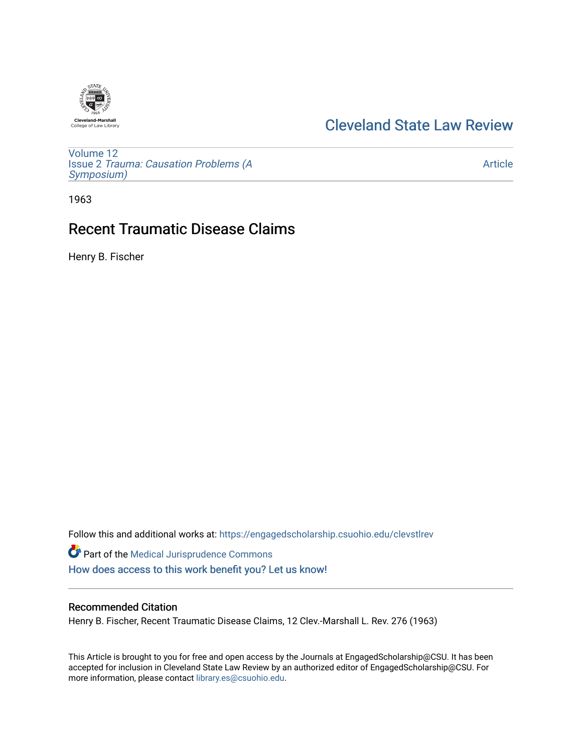

## [Cleveland State Law Review](https://engagedscholarship.csuohio.edu/clevstlrev)

[Volume 12](https://engagedscholarship.csuohio.edu/clevstlrev/vol12) Issue 2 [Trauma: Causation Problems \(A](https://engagedscholarship.csuohio.edu/clevstlrev/vol12/iss2) [Symposium\)](https://engagedscholarship.csuohio.edu/clevstlrev/vol12/iss2) 

[Article](https://engagedscholarship.csuohio.edu/clevstlrev/vol12/iss2/9) 

1963

# Recent Traumatic Disease Claims

Henry B. Fischer

Follow this and additional works at: [https://engagedscholarship.csuohio.edu/clevstlrev](https://engagedscholarship.csuohio.edu/clevstlrev?utm_source=engagedscholarship.csuohio.edu%2Fclevstlrev%2Fvol12%2Fiss2%2F9&utm_medium=PDF&utm_campaign=PDFCoverPages) Part of the [Medical Jurisprudence Commons](http://network.bepress.com/hgg/discipline/860?utm_source=engagedscholarship.csuohio.edu%2Fclevstlrev%2Fvol12%2Fiss2%2F9&utm_medium=PDF&utm_campaign=PDFCoverPages) 

[How does access to this work benefit you? Let us know!](http://library.csuohio.edu/engaged/)

## Recommended Citation

Henry B. Fischer, Recent Traumatic Disease Claims, 12 Clev.-Marshall L. Rev. 276 (1963)

This Article is brought to you for free and open access by the Journals at EngagedScholarship@CSU. It has been accepted for inclusion in Cleveland State Law Review by an authorized editor of EngagedScholarship@CSU. For more information, please contact [library.es@csuohio.edu](mailto:library.es@csuohio.edu).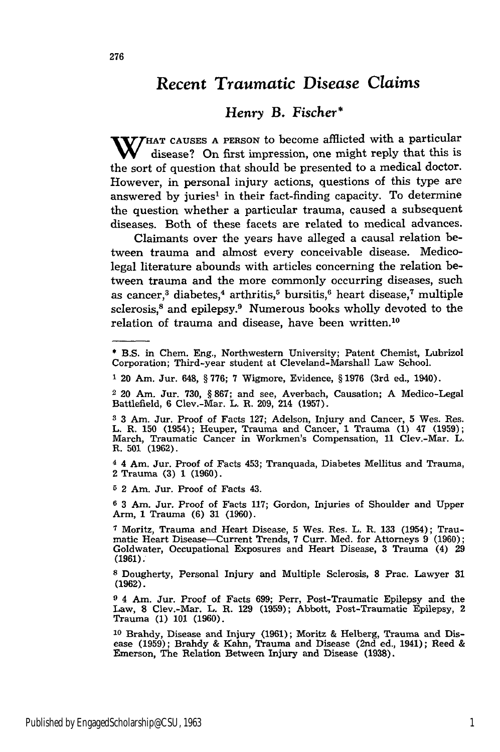## *Recent Traumatic Disease* Claims

### *Henry* B. Fischer\*

W HAT CAUSES A PERSON to become afflicted with a particular disease? On first impression, one might reply that this is the sort of question that should be presented to a medical doctor. However, in personal injury actions, questions of this type are answered by juries' in their fact-finding capacity. To determine the question whether a particular trauma, caused a subsequent diseases. Both of these facets are related to medical advances.

Claimants over the years have alleged a causal relation between trauma and almost every conceivable disease. Medicolegal literature abounds with articles concerning the relation between trauma and the more commonly occurring diseases, such as cancer,<sup>3</sup> diabetes,<sup>4</sup> arthritis,<sup>5</sup> bursitis,<sup>6</sup> heart disease,<sup>7</sup> multiple sclerosis,<sup>8</sup> and epilepsy.<sup>9</sup> Numerous books wholly devoted to the relation of trauma and disease, have been written.<sup>10</sup>

4 4 Am. Jur. Proof of Facts 453; Tranquada, Diabetes Mellitus and Trauma, 2 Trauma (3) 1 (1960).

**5** 2 Am. Jur. Proof of Facts 43.

**6** 3 Am. Jur. Proof of Facts 117; Gordon, Injuries of Shoulder and Upper Arm, 1 Trauma **(6)** 31 (1960).

7 Moritz, Trauma and Heart Disease, 5 Wes. Res. L. R. 133 (1954); Traumatic Heart Disease-Current Trends, 7 Curr. Med. for Attorneys 9 (1960); Goldwater, Occupational Exposures and Heart Disease, **3** Trauma (4) 29 (1961).

8 Dougherty, Personal Injury and Multiple Sclerosis, 8 Prac. Lawyer 31 (1962).

**9** 4 Am. Jur. Proof of Facts 699; Perr, Post-Traumatic Epilepsy and the Law, **8** Clev.-Mar. L. R. 129 (1959); Abbott, Post-Traumatic Epilepsy, 2 Trauma (1) 101 (1960).

**10** Brahdy, Disease and Injury (1961); Moritz **&** Helberg, Trauma and Disease (1959); Brahdy & Kahn, Trauma and Disease (2nd ed., 1941); Reed & Emerson, The Relation Between Injury and Disease **(1938).**

**<sup>\*</sup>** B.S. in Chem. Eng., Northwestern University; Patent Chemist, Lubrizol Corporation; Third-year student at Cleveland-Marshall Law School.

<sup>1 20</sup> Am. Jur. 648, § 776; 7 Wigmore, Evidence, § 1976 (3rd ed., 1940).

<sup>2 20</sup> Am. Jur. 730, § 867; and see, Averbach, Causation; A Medico-Legal Battlefield, **6** Clev.-Mar. L. R. 209, 214 (1957).

**<sup>3</sup>** 3 Am. Jur. Proof of Facts 127; Adelson, Injury and Cancer, 5 Wes. Res. L. R. 150 (1954); Heuper, Trauma and Cancer, **1** Trauma (1) 47 **(1959);** March, Traumatic Cancer in Workmen's Compensation, 11 Clev.-Mar. L. R. **501** (1962).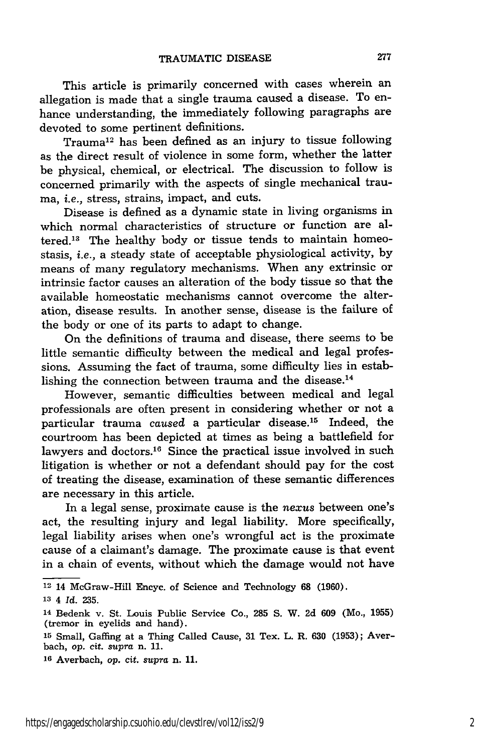This article is primarily concerned with cases wherein an allegation is made that a single trauma caused a disease. To enhance understanding, the immediately following paragraphs are devoted to some pertinent definitions.

Trauma<sup>12</sup> has been defined as an injury to tissue following as the direct result of violence in some form, whether the latter be physical, chemical, or electrical. The discussion to follow is concerned primarily with the aspects of single mechanical trauma, *i.e.,* stress, strains, impact, and cuts.

Disease is defined as a dynamic state in living organisms in which normal characteristics of structure or function are altered.13 The healthy body or tissue tends to maintain homeostasis, *i.e.,* a steady state of acceptable physiological activity, by means of many regulatory mechanisms. When any extrinsic or intrinsic factor causes an alteration of the body tissue so that the available homeostatic mechanisms cannot overcome the alteration, disease results. In another sense, disease is the failure **of** the body or one of its parts to adapt to change.

On the definitions of trauma and disease, there seems to be little semantic difficulty between the medical and legal professions. Assuming the fact of trauma, some difficulty lies in establishing the connection between trauma and the disease.<sup>14</sup>

However, semantic difficulties between medical and legal professionals are often present in considering whether or not a particular trauma *caused* a particular disease.15 Indeed, the courtroom has been depicted at times as being a battlefield for lawyers and doctors.<sup>16</sup> Since the practical issue involved in such litigation is whether or not a defendant should pay for the cost of treating the disease, examination of these semantic differences are necessary in this article.

In a legal sense, proximate cause is the *nexus* between one's act, the resulting injury and legal liability. More specifically, legal liability arises when one's wrongful act is the proximate cause of a claimant's damage. The proximate cause is that event in a chain of events, without which the damage would not have

<sup>12 14</sup> McGraw-Hill Encyc. of Science and Technology **68** (1960).

*<sup>13</sup>*4 *Id.* 235.

<sup>14</sup> Bedenk v. St. Louis Public Service Co., **285 S.** W. 2d 609 (Mo., **1955)** (tremor in eyelids and hand).

**<sup>15</sup>** Small, Gaffing at a Thing Called Cause, 31 Tex. L. R. 630 (1953); Averbach, op. cit. supra n. **11.**

**<sup>16</sup>**Averbach, *op.* cit. supra n. 11.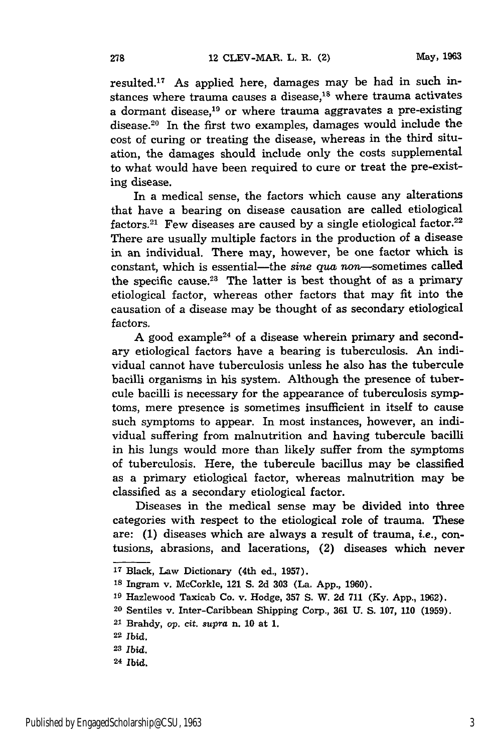resulted.17 As applied here, damages may be had in such instances where trauma causes a disease,<sup>18</sup> where trauma activates a dormant disease,19 or where trauma aggravates a pre-existing disease.<sup>20</sup> In the first two examples, damages would include the cost of curing or treating the disease, whereas in the third situation, the damages should include only the costs supplemental to what would have been required to cure or treat the pre-existing disease.

In a medical sense, the factors which cause any alterations that have a bearing on disease causation are called etiological factors.<sup>21</sup> Few diseases are caused by a single etiological factor.<sup>22</sup> There are usually multiple factors in the production of a disease in an individual. There may, however, be one factor which is constant, which is essential-the *sine qua* non-sometimes called the specific cause.23 The latter is best thought of as a primary etiological factor, whereas other factors that may fit into the causation of a disease may be thought of as secondary etiological factors.

A good example<sup>24</sup> of a disease wherein primary and secondary etiological factors have a bearing is tuberculosis. An individual cannot have tuberculosis unless he also has the tubercule bacilli organisms in his system. Although the presence of tubercule bacilli is necessary for the appearance of tuberculosis symptoms, mere presence is sometimes insufficient in itself to cause such symptoms to appear. In most instances, however, an individual suffering from malnutrition and having tubercule bacilli in his lungs would more than likely suffer from the symptoms of tuberculosis. Here, the tubercule bacillus may be classified as a primary etiological factor, whereas malnutrition may be classified as a secondary etiological factor.

Diseases in the medical sense may be divided into three categories with respect to the etiological role of trauma. These are: (1) diseases which are always a result of trauma, *i.e.,* contusions, abrasions, and lacerations, (2) diseases which never

- **<sup>17</sup>**Black, Law Dictionary (4th ed., **1957).**
- **<sup>18</sup>**Ingram v. McCorkle, 121 **S. 2d 303** (La. **App., 1960).**
- **<sup>19</sup>**Hazlewood Taxicab Co. v. Hodge, **357 S.** W. **2d 711 (Ky. App., 1962).**
- **<sup>20</sup>**Sentiles v. Inter-Caribbean Shipping Corp., **361 U. S. 107, 110 (1959).**
- **<sup>21</sup>**Brahdy, *op.* cit. *supra* n. **10** at **1.**

**<sup>22</sup>**Ibid.

**<sup>23</sup>***Ibid.*

**<sup>24</sup>** Ibid.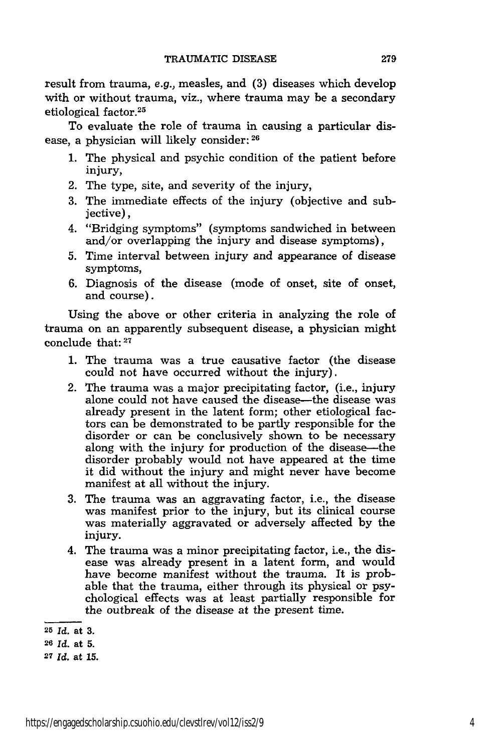result from trauma, e.g., measles, and (3) diseases which develop with or without trauma, viz., where trauma may be a secondary etiological factor.<sup>25</sup>

To evaluate the role of trauma in causing a particular disease, a physician will likely consider: **<sup>26</sup>**

- 1. The physical and psychic condition of the patient before injury,
- 2. The type, site, and severity of the injury,
- 3. The immediate effects of the injury (objective and subjective),
- 4. "Bridging symptoms" (symptoms sandwiched in between and/or overlapping the injury and disease symptoms),
- 5. Time interval between injury and appearance of disease symptoms,
- 6. Diagnosis of the disease (mode of onset, site of onset, and course).

Using the above or other criteria in analyzing the role of trauma on an apparently subsequent disease, a physician might conclude that: 27

- 1. The trauma was a true causative factor (the disease could not have occurred without the injury).
- 2. The trauma was a major precipitating factor, (i.e., injury alone could not have caused the disease-the disease was already present in the latent form; other etiological factors can be demonstrated to be partly responsible for the disorder or can be conclusively shown to be necessary along with the injury for production of the disease—the disorder probably would not have appeared at the time it did without the injury and might never have become manifest at all without the injury.
- 3. The trauma was an aggravating factor, i.e., the disease was manifest prior to the injury, but its clinical course was materially aggravated or adversely affected by the injury.
- 4. The trauma was a minor precipitating factor, i.e., the disease was already present in a latent form, and would have become manifest without the trauma. It is probable that the trauma, either through its physical or psychological effects was at least partially responsible for the outbreak of the disease at the present time.

**<sup>25</sup>***Id.* at **3.**

**<sup>26</sup>***Id.* at **5.**

**<sup>27</sup>***Id.* at **15.**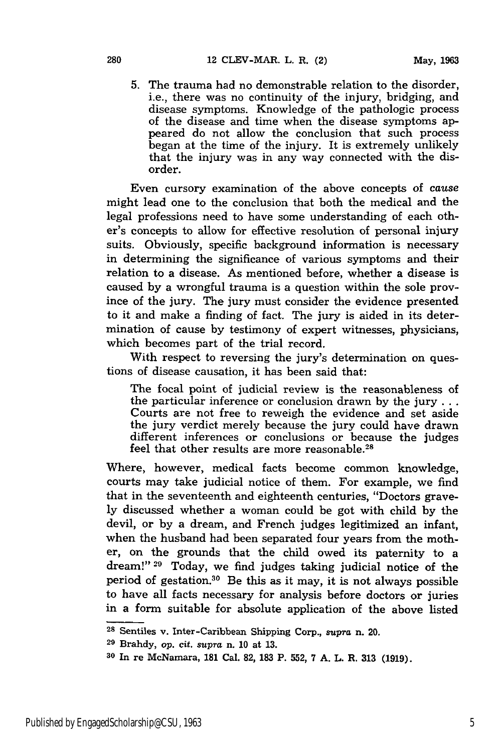5. The trauma had no demonstrable relation to the disorder, i.e., there was no continuity of the injury, bridging, and disease symptoms. Knowledge of the pathologic process of the disease and time when the disease symptoms appeared do not allow the conclusion that such process began at the time of the injury. It is extremely unlikely that the injury was in any way connected with the disorder.

Even cursory examination of the above concepts of *cause* might lead one to the conclusion that both the medical and the legal professions need to have some understanding of each other's concepts to allow for effective resolution of personal injury suits. Obviously, specific background information is necessary in determining the significance of various symptoms and their relation to a disease. As mentioned before, whether a disease is caused by a wrongful trauma is a question within the sole province of the jury. The jury must consider the evidence presented to it and make a finding of fact. The jury is aided in its determination of cause by testimony of expert witnesses, physicians, which becomes part of the trial record.

With respect to reversing the jury's determination on questions of disease causation, it has been said that:

The focal point of judicial review is the reasonableness of the particular inference or conclusion drawn by the **jury...** Courts are not free to reweigh the evidence and set aside the jury verdict merely because the jury could have drawn different inferences or conclusions or because the judges feel that other results are more reasonable. $^{\rm 28}$ 

Where, however, medical facts become common knowledge, courts may take judicial notice of them. For example, we find that in the seventeenth and eighteenth centuries, "Doctors gravely discussed whether a woman could be got with child by the devil, or by a dream, and French judges legitimized an infant, when the husband had been separated four years from the mother, on the grounds that the child owed its paternity to a dream!" **29** Today, we find judges taking judicial notice of the period of gestation.30 Be this as it may, it is not always possible to have all facts necessary for analysis before doctors or juries in a form suitable for absolute application of the above listed

**<sup>28</sup>**Sentiles v. Inter-Caribbean Shipping Corp., *supra* n. 20.

**<sup>29</sup>**Brahdy, op. cit. *supra* n. 10 at 13.

**<sup>30</sup>**In re McNamara, **181** Cal. **82, 183** P. 552, 7 **A.** L. R. **313** (1919).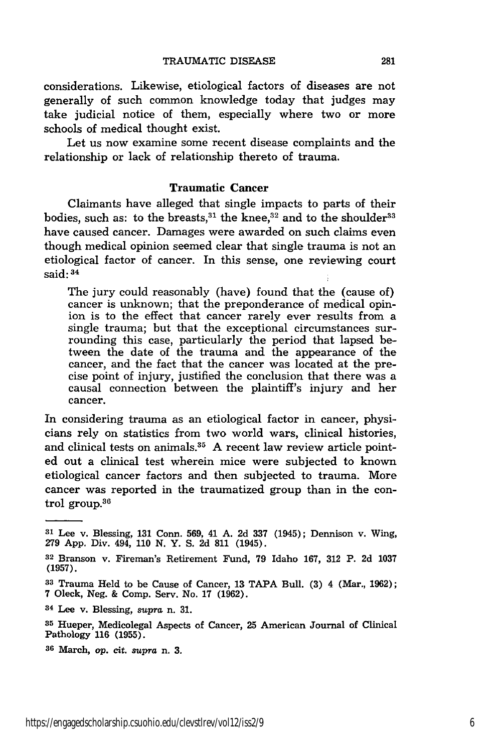considerations. Likewise, etiological factors of diseases are not generally of such common knowledge today that judges may take judicial notice of them, especially where two or more schools of medical thought exist.

Let us now examine some recent disease complaints and the relationship or lack of relationship thereto of trauma.

#### Traumatic **Cancer**

Claimants have alleged that single impacts to parts of their bodies, such as: to the breasts, $31$  the knee, $32$  and to the shoulder $33$ have caused cancer. Damages were awarded on such claims even though medical opinion seemed clear that single trauma is not an etiological factor of cancer. In this sense, one reviewing court said: **34**

The jury could reasonably (have) found that the (cause of) cancer is unknown; that the preponderance of medical opinion is to the effect that cancer rarely ever results from a single trauma; but that the exceptional circumstances surrounding this case, particularly the period that lapsed between the date of the trauma and the appearance of the cancer, and the fact that the cancer was located at the precise point of injury, justified the conclusion that there was a causal connection between the plaintiff's injury and her cancer.

In considering trauma as an etiological factor in cancer, physicians rely on statistics from two world wars, clinical histories, and clinical tests on animals.<sup>35</sup> A recent law review article pointed out a clinical test wherein mice were subjected to known etiological cancer factors and then subjected to trauma. More cancer was reported in the traumatized group than in the control group. 36

**<sup>31</sup>**Lee v. Blessing, **131** Conn. **569,** 41 **A.** 2d **337** (1945); Dennison v. Wing, **279** App. Div. 494, **110** N. Y. S. **2d 811** (1945).

**<sup>32</sup>**Branson v. Fireman's Retirement Fund, **79** Idaho **167, 312** P. 2d **1037 (1957).**

**<sup>33</sup>**Trauma Held to be Cause of Cancer, 13 TAPA Bull. (3) 4 (Mar., 1962); **7** Oleck, Neg. & Comp. Serv. No. 17 (1962).

**<sup>34</sup>**Lee v. Blessing, *supra* n. 31.

**<sup>35</sup>**Hueper, Medicolegal Aspects of Cancer, 25 American Journal of Clinical Pathology 116 (1955).

**<sup>36</sup>**March, op. cit. *supra* n. **3.**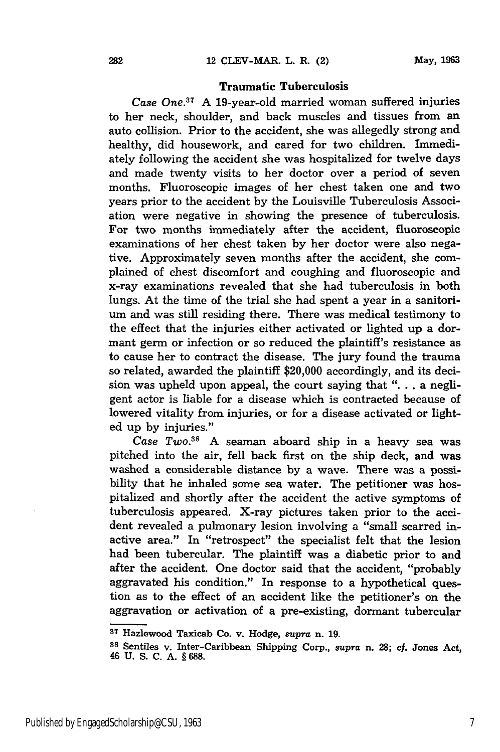#### Traumatic Tuberculosis

Case One.<sup>37</sup> A 19-year-old married woman suffered injuries to her neck, shoulder, and back muscles and tissues from an auto collision. Prior to the accident, she was allegedly strong and healthy, did housework, and cared for two children. Immediately following the accident she was hospitalized for twelve days and made twenty visits to her doctor over a period of seven months. Fluoroscopic images of her chest taken one and two years prior to the accident by the Louisville Tuberculosis Association were negative in showing the presence of tuberculosis. For two months immediately after the accident, fluoroscopic examinations of her chest taken by her doctor were also negative. Approximately seven months after the accident, she complained of chest discomfort and coughing and fluoroscopic and x-ray examinations revealed that she had tuberculosis in both lungs. At the time of the trial she had spent a year in a sanitorium and was still residing there. There was medical testimony to the effect that the injuries either activated or lighted up a dormant germ or infection or so reduced the plaintiff's resistance as to cause her to contract the disease. The jury found the trauma so related, awarded the plaintiff \$20,000 accordingly, and its decision was upheld upon appeal, the court saying that ". . . a negligent actor is liable for a disease which is contracted because of lowered vitality from injuries, or for a disease activated or lighted up by injuries."

*Case Two.88* A seaman aboard ship in a heavy sea was pitched into the air, fell back first on the ship deck, and was washed a considerable distance **by** a wave. There was a possibility that he inhaled some sea water. The petitioner was hospitalized and shortly after the accident the active symptoms of tuberculosis appeared. X-ray pictures taken prior to the accident revealed a pulmonary lesion involving a "small scarred inactive area." In "retrospect" the specialist felt that the lesion had been tubercular. The plaintiff was a diabetic prior to and after the accident. One doctor said that the accident, "probably aggravated his condition." In response to a hypothetical question as to the effect of an accident like the petitioner's on the aggravation or activation of a pre-existing, dormant tubercular

**<sup>87</sup>**Hazlewood Taxicab Co. v. Hodge, *supra* n. **19.**

**<sup>88</sup>**Sentiles v. Inter-Caribbean Shipping Corp., *supra* n. **28;** cf. Jones Act, 46 **U. S. C. A. § 688.**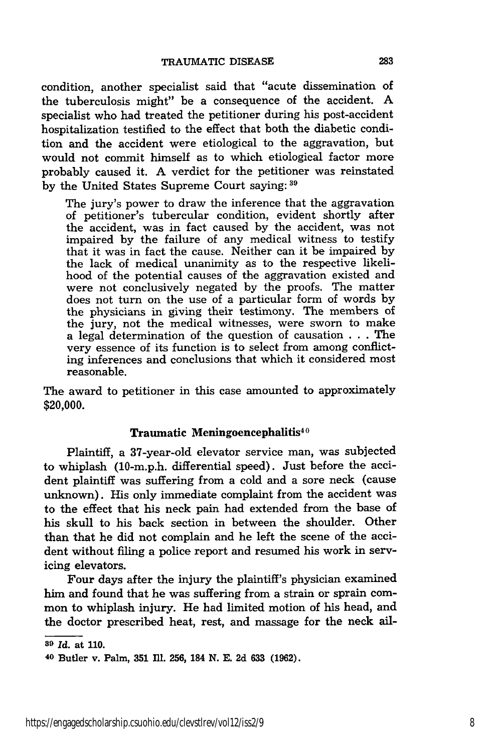condition, another specialist said that "acute dissemination of the tuberculosis might" be a consequence of the accident. A specialist who had treated the petitioner during his post-accident hospitalization testified to the effect that both the diabetic condition and the accident were etiological to the aggravation, but would not commit himself as to which etiological factor more probably caused it. A verdict for the petitioner was reinstated by the United States Supreme Court saying: <sup>39</sup>

The jury's power to draw the inference that the aggravation of petitioner's tubercular condition, evident shortly after the accident, was in fact caused by the accident, was not impaired by the failure of any medical witness to testify that it was in fact the cause. Neither can it be impaired by the lack of medical unanimity as to the respective likelihood of the potential causes of the aggravation existed and were not conclusively negated by the proofs. The matter does not turn on the use of a particular form of words by the physicians in giving their testimony. The members of the jury, not the medical witnesses, were sworn to make a legal determination of the question of causation . . . The very essence of its function is to select from among conflicting inferences and conclusions that which it considered most reasonable.

The award to petitioner in this case amounted to approximately \$20,000.

#### Traumatic Meningoencephalitis<sup>40</sup>

Plaintiff, a 37-year-old elevator service man, was subjected to whiplash (10-m.p.h. differential speed). Just before the accident plaintiff was suffering from a cold and a sore neck (cause unknown). His only immediate complaint from the accident was to the effect that his neck pain had extended from the base of his **skull** to his back section in between the shoulder. Other than that he did not complain and he left the scene of the accident without filing a police report and resumed his work in servicing elevators.

Four days after the injury the plaintiff's physician examined him and found that he was suffering from a strain or sprain common to whiplash injury. He had limited motion of his head, and the doctor prescribed heat, rest, and massage for the neck ail-

*<sup>89</sup> Id.* at **110.**

**<sup>40</sup>**Butler v. Palm, **351 IM. 256,** 184 **N. E. 2d 633 (1962).**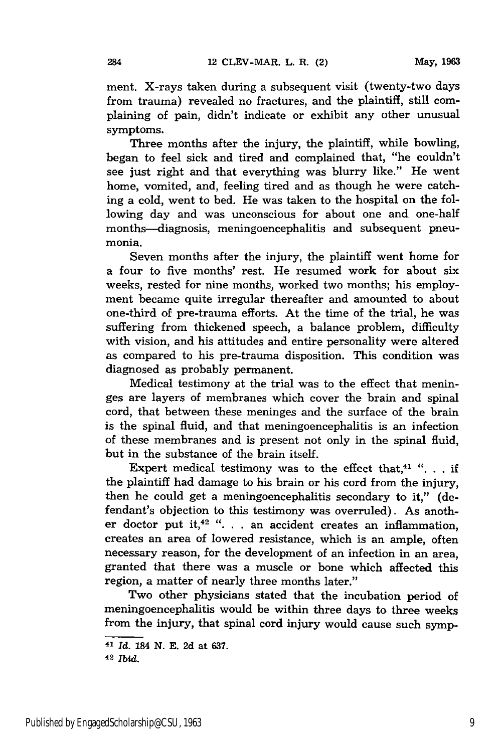ment. X-rays taken during a subsequent visit (twenty-two days from trauma) revealed no fractures, and the plaintiff, still complaining of pain, didn't indicate or exhibit any other unusual symptoms.

Three months after the injury, the plaintiff, while bowling, began to feel sick and tired and complained that, "he couldn't see just right and that everything was blurry like." He went home, vomited, and, feeling tired and as though he were catching a cold, went to bed. He was taken to the hospital on the following day and was unconscious for about one and one-half months--diagnosis, meningoencephalitis and subsequent pneumonia.

Seven months after the injury, the plaintiff went home for a four to five months' rest. He resumed work for about six weeks, rested for nine months, worked two months; his employment became quite irregular thereafter and amounted to about one-third of pre-trauma efforts. At the time of the trial, he was suffering from thickened speech, a balance problem, difficulty with vision, and his attitudes and entire personality were altered as compared to his pre-trauma disposition. This condition was diagnosed as probably permanent.

Medical testimony at the trial was to the effect that meninges are layers of membranes which cover the brain and spinal cord, that between these meninges and the surface of the brain is the spinal fluid, and that meningoencephalitis is an infection of these membranes and is present not only in the spinal fluid, but in the substance of the brain itself.

Expert medical testimony was to the effect that,<sup>41</sup> "... if the plaintiff had damage to his brain or his cord from the injury, then he could get a meningoencephalitis secondary to it," (defendant's objection to this testimony was overruled). As another doctor put it,<sup>42</sup> ". . . an accident creates an inflammation, creates an area of lowered resistance, which is an ample, often necessary reason, for the development of an infection in an area, granted that there was a muscle or bone which affected this region, a matter of nearly three months later."

Two other physicians stated that the incubation period of meningoencephalitis would be within three days to three weeks from the injury, that spinal cord injury would cause such symp-

<sup>42</sup>*Ibid.*

**<sup>41</sup>***Id.* 184 **N. E.** 2d at 637.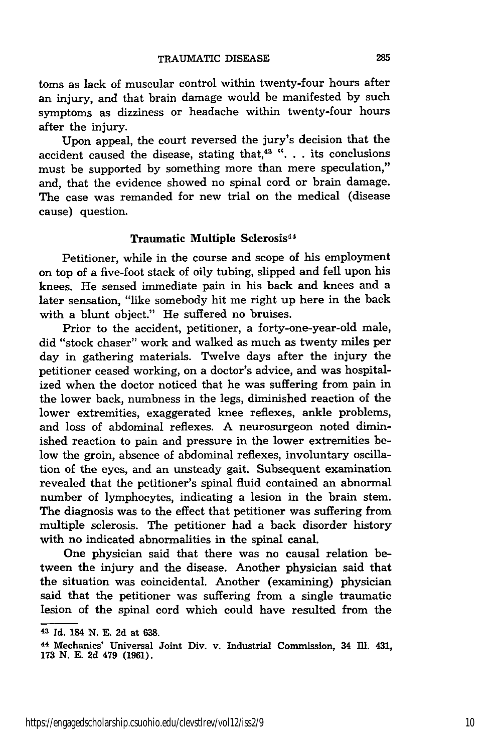toms as lack of muscular control within twenty-four hours after an injury, and that brain damage would be manifested by such symptoms as dizziness or headache within twenty-four hours after the injury.

Upon appeal, the court reversed the jury's decision that the accident caused the disease, stating that,<sup>43</sup> ". . . its conclusions must be supported by something more than mere speculation," and, that the evidence showed no spinal cord or brain damage. The case was remanded for new trial on the medical (disease cause) question.

#### Traumatic Multiple Sclerosis<sup>44</sup>

Petitioner, while in the course and scope of his employment on top of a five-foot stack of oily tubing, slipped and fell upon his knees. He sensed immediate pain in his back and knees and a later sensation, "like somebody hit me right up here in the back with a blunt object." He suffered no bruises.

Prior to the accident, petitioner, a forty-one-year-old male, did "stock chaser" work and walked as much as twenty miles per day in gathering materials. Twelve days after the injury the petitioner ceased working, on a doctor's advice, and was hospitalized when the doctor noticed that he was suffering from pain in the lower back, numbness in the legs, diminished reaction of the lower extremities, exaggerated knee reflexes, ankle problems, and loss of abdominal reflexes. A neurosurgeon noted diminished reaction to pain and pressure in the lower extremities below the groin, absence of abdominal reflexes, involuntary oscillation of the eyes, and an unsteady gait. Subsequent examination revealed that the petitioner's spinal fluid contained an abnormal number of lymphocytes, indicating a lesion in the brain stem. The diagnosis was to the effect that petitioner was suffering from multiple sclerosis. The petitioner had a back disorder history with no indicated abnormalities in the spinal canal.

One physician said that there was no causal relation between the injury and the disease. Another physician said that the situation was coincidental. Another (examining) physician said that the petitioner was suffering from a single traumatic lesion of the spinal cord which could have resulted from the

**<sup>43</sup>**Id. 184 **N. E. 2d** at **638.**

<sup>44</sup> Mechanics' Universal Joint Div. v. Industrial Commission, 34 Ill. 431, **173** N. E. **2d** 479 (1961).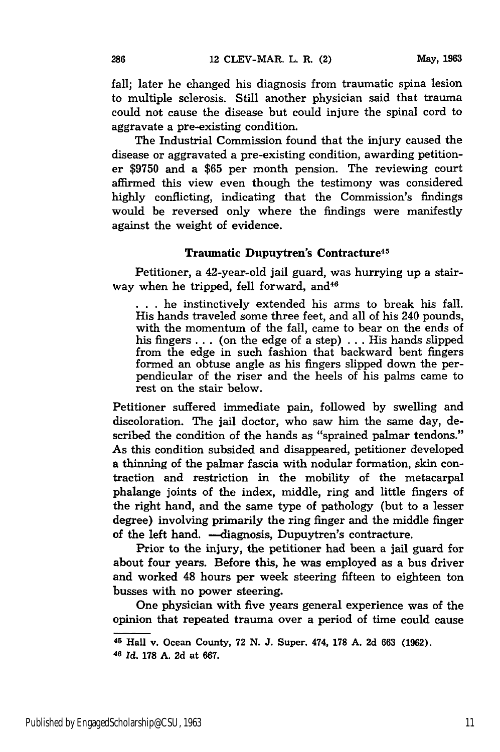fall; later he changed his diagnosis from traumatic spina lesion to multiple sclerosis. Still another physician said that trauma could not cause the disease but could injure the spinal cord to aggravate a pre-existing condition.

The Industrial Commission found that the injury caused the disease or aggravated a pre-existing condition, awarding petitioner \$9750 and a **\$65** per month pension. The reviewing court affirmed this view even though the testimony was considered highly conflicting, indicating that the Commission's findings would be reversed only where the findings were manifestly against the weight of evidence.

#### Traumatic Dupuytren's Contracture<sup>45</sup>

Petitioner, a 42-year-old jail guard, was hurrying up a stairway when he tripped, fell forward, and  $46$ 

**• . .** he instinctively extended his arms to break his fall. His hands traveled some three feet, and all of his 240 pounds, with the momentum of the fall, came to bear on the ends of his fingers... (on the edge of a step) ... His hands slipped from the edge in such fashion that backward bent fingers formed an obtuse angle as his fingers slipped down the perpendicular of the riser and the heels of his palms came to rest on the stair below.

Petitioner suffered immediate pain, followed by swelling and discoloration. The jail doctor, who saw him the same day, described the condition of the hands as "sprained palmar tendons." As this condition subsided and disappeared, petitioner developed a thinning of the palmar fascia with nodular formation, skin contraction and restriction in the mobility of the metacarpal phalange joints of the index, middle, ring and little fingers of the right hand, and the same type of pathology (but to a lesser degree) involving primarily the ring finger and the middle finger of the left hand. - diagnosis, Dupuytren's contracture.

Prior to the injury, the petitioner had been a jail guard for about four years. Before this, he was employed as a bus driver and worked 48 hours per week steering fifteen to eighteen ton busses with no power steering.

One physician with five years general experience was of the opinion that repeated trauma over a period of time could cause

**<sup>45</sup>Hall** v. Ocean County, **72 N. J.** Super. 474, **178 A. 2d 663 (1962).**

**<sup>40</sup>***Id.* **178 A. 2d** at **667.**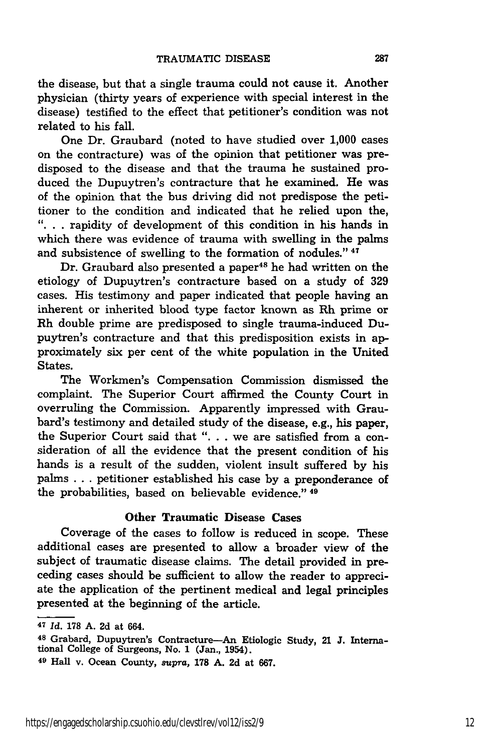the disease, but that a single trauma could not cause it. Another physician (thirty years of experience with special interest in the disease) testified to the effect that petitioner's condition was not related to his fall.

One Dr. Graubard (noted to have studied over 1,000 cases on the contracture) was of the opinion that petitioner was predisposed to the disease and that the trauma he sustained produced the Dupuytren's contracture that he examined. He was of the opinion that the bus driving did not predispose the petitioner to the condition and indicated that he relied upon the, **"..** . rapidity of development of this condition in his hands in which there was evidence of trauma with swelling in the palms and subsistence of swelling to the formation of nodules." 47

Dr. Graubard also presented a paper<sup>48</sup> he had written on the etiology of Dupuytren's contracture based on a study of **329** cases. His testimony and paper indicated that people having an inherent or inherited blood type factor known as Rh prime or Rh double prime are predisposed to single trauma-induced Dupuytren's contracture and that this predisposition exists in approximately six per cent of the white population in the United States.

The Workmen's Compensation Commission dismissed the complaint. The Superior Court affirmed the County Court in overruling the Commission. Apparently impressed with Graubard's testimony and detailed study of the disease, e.g., his paper, the Superior Court said that ". . . we are satisfied from a consideration of all the evidence that the present condition of his hands is a result of the sudden, violent insult suffered by his palms . . . petitioner established his case by a preponderance of the probabilities, based on believable evidence." 49

#### Other Traumatic Disease Cases

Coverage of the cases to follow is reduced in scope. These additional cases are presented to allow a broader view of the subject of traumatic disease claims. The detail provided in preceding cases should be sufficient to allow the reader to appreciate the application of the pertinent medical and legal principles presented at the beginning of the article.

*<sup>47</sup> Id.* **178 A. 2d** at 664.

**<sup>48</sup>** Grabard, Dupuytren's Contracture-An Etiologic Study, 21 **J.** International College of Surgeons, No. 1 (Jan., 1954).

**<sup>49</sup>**Hall v. Ocean County, supra, **178 A. 2d** at **667.**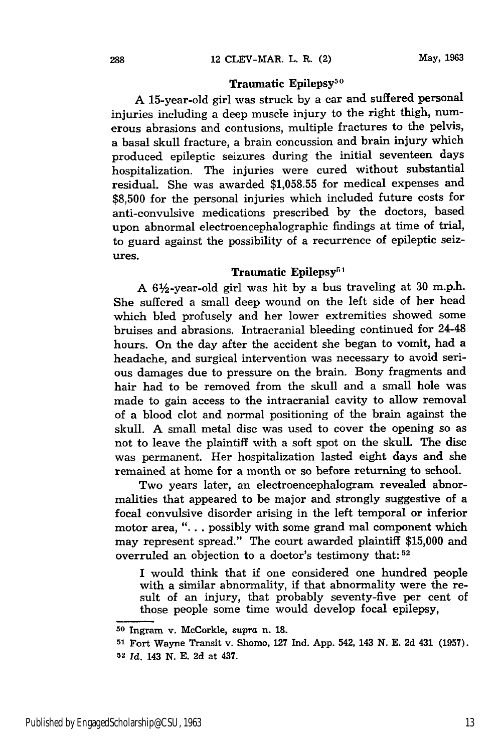#### Traumatic Epilepsy<sup>50</sup>

A 15-year-old girl was struck **by** a car and suffered personal injuries including a deep muscle injury to the right thigh, numerous abrasions and contusions, multiple fractures to the pelvis, a basal skull fracture, a brain concussion and brain injury which produced epileptic seizures during the initial seventeen days hospitalization. The injuries were cured without substantial residual. She was awarded **\$1,058.55** for medical expenses and **\$8,500** for the personal injuries which included future costs for anti-convulsive medications prescribed **by** the doctors, based upon abnormal electroencephalographic findings at time of trial, to guard against the possibility of a recurrence of epileptic seizures.

### Traumatic Epilepsy<sup>5</sup>

**A** 6Y2-year-old girl was hit **by** a bus traveling at **30** m.p.h. She suffered a small deep wound on the left side of her head which bled profusely and her lower extremities showed some bruises and abrasions. Intracranial bleeding continued for 24-48 hours. On the day after the accident she began to vomit, had a headache, and surgical intervention was necessary to avoid serious damages due to pressure on the brain. Bony fragments and hair had to be removed from the skull and a small hole was made to gain access to the intracranial cavity to allow removal of a blood clot and normal positioning of the brain against the skull. **A** small metal disc was used to cover the opening so as not to leave the plaintiff with a soft spot on the skull. The disc was permanent. Her hospitalization lasted eight days and she remained at home for a month or so before returning to school.

Two years later, an electroencephalogram revealed abnormalities that appeared to be major and strongly suggestive of a focal convulsive disorder arising in the left temporal or inferior motor area, ". **.** . possibly with some grand mal component which may represent spread." The court awarded plaintiff **\$15,000** and overruled an objection to a doctor's testimony that:  $52$ 

I would think that if one considered one hundred people with a similar abnormality, if that abnormality were the result of an injury, that probably seventy-five per cent of those people some time would develop focal epilepsy,

**<sup>50</sup>**Ingram v. McCorkle, supra n. **18.**

**<sup>51</sup>**Fort Wayne Transit v. Shomo, **127** Ind. App. 542, 143 N. **E. 2d** 431 (1957). **<sup>52</sup>***Id.* 143 N. **E. 2d** at 437.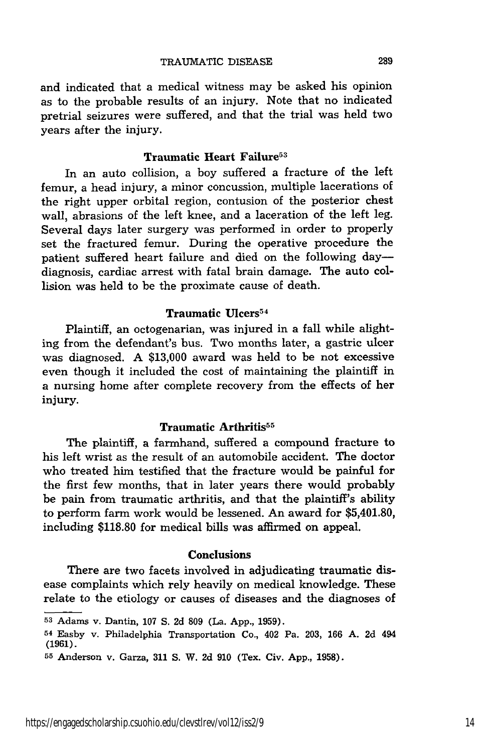and indicated that a medical witness may be asked his opinion as to the probable results of an injury. Note that no indicated pretrial seizures were suffered, and that the trial was held two years after the injury.

#### Traumatic Heart Failure<sup>53</sup>

In an auto collision, a boy suffered a fracture of the left femur, a head injury, a minor concussion, multiple lacerations of the right upper orbital region, contusion of the posterior chest wall, abrasions of the left knee, and a laceration of the left leg. Several days later surgery was performed in order to properly set the fractured femur. During the operative procedure the patient suffered heart failure and died on the following daydiagnosis, cardiac arrest with fatal brain damage. The auto collision was held to be the proximate cause of death.

#### Traumatic Ulcers<sup>54</sup>

Plaintiff, an octogenarian, was injured in a fall while alighting from the defendant's bus. Two months later, a gastric ulcer was diagnosed. A \$13,000 award was held to be not excessive even though it included the cost of maintaining the plaintiff in a nursing home after complete recovery from the effects of her injury.

#### Traumatic Arthritis<sup>55</sup>

The plaintiff, a farmhand, suffered a compound fracture to his left wrist as the result of an automobile accident. The doctor who treated him testified that the fracture would be painful for the first few months, that in later years there would probably be pain from traumatic arthritis, and that the plaintiff's ability to perform farm work would be lessened. An award for \$5,401.80, including \$118.80 for medical bills was affirmed on appeal.

#### Conclusions

There are two facets involved in adjudicating traumatic disease complaints which rely heavily on medical knowledge. These relate to the etiology or causes of diseases and the diagnoses of

**<sup>53</sup>**Adams v. Dantin, **107 S. 2d 809** (La. **App., 1959).**

<sup>54</sup> Easby v. Philadelphia Transportation Co., 402 Pa. **203, 166 A. 2d** 494 **(1961).**

**<sup>55</sup>**Anderson v. Garza, **311 S.** W. **2d 910** (Tex. Civ. **App., 1958).**